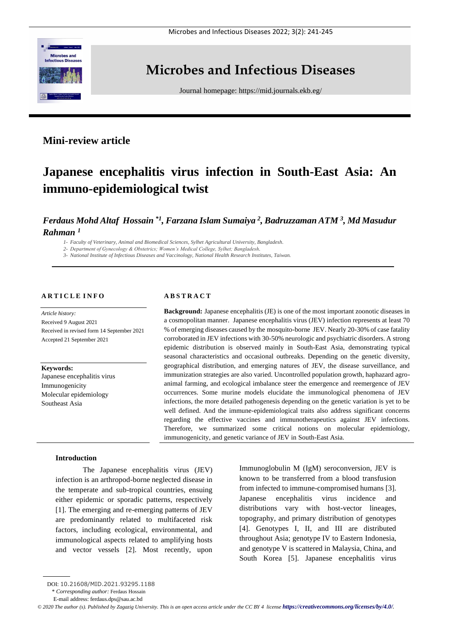

# **Microbes and Infectious Diseases**

Journal homepage:<https://mid.journals.ekb.eg/>

# **Mini-review article**

# **Japanese encephalitis virus infection in South-East Asia: An immuno-epidemiological twist**

*Ferdaus Mohd Altaf Hossain \*1 , Farzana Islam Sumaiya <sup>2</sup> , Badruzzaman ATM <sup>3</sup> , Md Masudur Rahman <sup>1</sup>*

*1- Faculty of Veterinary, Animal and Biomedical Sciences, Sylhet Agricultural University, Bangladesh.*

*2- Department of Gynecology & Obstetrics; Women's Medical College, Sylhet; Bangladesh.*

*3- National Institute of Infectious Diseases and Vaccinology, National Health Research Institutes, Taiwan.*

# **A R T I C L E I N F O**

*Article history:*  Received 9 August 2021 Received in revised form 14 September 2021 Accepted 21 September 2021

#### **Keywords:**

Japanese encephalitis virus Immunogenicity Molecular epidemiology Southeast Asia

# **A B S T R A C T**

**Background:** Japanese encephalitis (JE) is one of the most important zoonotic diseases in a cosmopolitan manner. Japanese encephalitis virus (JEV) infection represents at least 70 % of emerging diseases caused by the mosquito-borne JEV. Nearly 20-30% of case fatality corroborated in JEV infections with 30-50% neurologic and psychiatric disorders. A strong epidemic distribution is observed mainly in South-East Asia, demonstrating typical seasonal characteristics and occasional outbreaks. Depending on the genetic diversity, geographical distribution, and emerging natures of JEV, the disease surveillance, and immunization strategies are also varied. Uncontrolled population growth, haphazard agroanimal farming, and ecological imbalance steer the emergence and reemergence of JEV occurrences. Some murine models elucidate the immunological phenomena of JEV infections, the more detailed pathogenesis depending on the genetic variation is yet to be well defined. And the immune-epidemiological traits also address significant concerns regarding the effective vaccines and immunotherapeutics against JEV infections. Therefore, we summarized some critical notions on molecular epidemiology, immunogenicity, and genetic variance of JEV in South-East Asia.

# **Introduction**

The Japanese encephalitis virus (JEV) infection is an arthropod-borne neglected disease in the temperate and sub-tropical countries, ensuing either epidemic or sporadic patterns, respectively [1]. The emerging and re-emerging patterns of JEV are predominantly related to multifaceted risk factors, including ecological, environmental, and immunological aspects related to amplifying hosts and vector vessels [2]. Most recently, upon

Immunoglobulin M (IgM) seroconversion, JEV is known to be transferred from a blood transfusion from infected to immune-compromised humans [3]. Japanese encephalitis virus incidence and distributions vary with host-vector lineages, topography, and primary distribution of genotypes [4]. Genotypes I, II, and III are distributed throughout Asia; genotype IV to Eastern Indonesia, and genotype V is scattered in Malaysia, China, and South Korea [5]. Japanese encephalitis virus

DOI: 10.21608/MID.2021.93295.1188

<sup>\*</sup> *Corresponding author:* Ferdaus Hossain

E-mail address: ferdaus.dps@sau.ac.bd

 $\odot$  2020 The author (s). Published by Zagazig University. This is an open access article under the CC BY 4 license *<https://creativecommons.org/licenses/by/4.0/>*.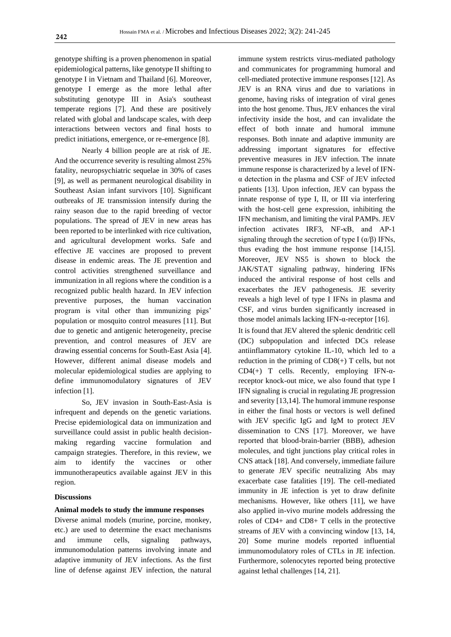genotype shifting is a proven phenomenon in spatial epidemiological patterns, like genotype II shifting to genotype I in Vietnam and Thailand [6]. Moreover, genotype I emerge as the more lethal after substituting genotype III in Asia's southeast temperate regions [7]. And these are positively related with global and landscape scales, with deep interactions between vectors and final hosts to predict initiations, emergence, or re-emergence [8].

Nearly 4 billion people are at risk of JE. And the occurrence severity is resulting almost 25% fatality, neuropsychiatric sequelae in 30% of cases [9], as well as permanent neurological disability in Southeast Asian infant survivors [10]. Significant outbreaks of JE transmission intensify during the rainy season due to the rapid breeding of vector populations. The spread of JEV in new areas has been reported to be interlinked with rice cultivation, and agricultural development works. Safe and effective JE vaccines are proposed to prevent disease in endemic areas. The JE prevention and control activities strengthened surveillance and immunization in all regions where the condition is a recognized public health hazard. In JEV infection preventive purposes, the human vaccination program is vital other than immunizing pigs' population or mosquito control measures [11]. But due to genetic and antigenic heterogeneity, precise prevention, and control measures of JEV are drawing essential concerns for South-East Asia [4]. However, different animal disease models and molecular epidemiological studies are applying to define immunomodulatory signatures of JEV infection [1].

So, JEV invasion in South-East-Asia is infrequent and depends on the genetic variations. Precise epidemiological data on immunization and surveillance could assist in public health decisionmaking regarding vaccine formulation and campaign strategies. Therefore, in this review, we aim to identify the vaccines or other immunotherapeutics available against JEV in this region.

#### **Discussions**

#### **Animal models to study the immune responses**

Diverse animal models (murine, porcine, monkey, etc.) are used to determine the exact mechanisms and immune cells, signaling pathways, immunomodulation patterns involving innate and adaptive immunity of JEV infections. As the first line of defense against JEV infection, the natural immune system restricts virus-mediated pathology and communicates for programming humoral and cell-mediated protective immune responses [12]. As JEV is an RNA virus and due to variations in genome, having risks of integration of viral genes into the host genome. Thus, JEV enhances the viral infectivity inside the host, and can invalidate the effect of both innate and humoral immune responses. Both innate and adaptive immunity are addressing important signatures for effective preventive measures in JEV infection. The innate immune response is characterized by a level of IFNα detection in the plasma and CSF of JEV infected patients [13]. Upon infection, JEV can bypass the innate response of type I, II, or III via interfering with the host-cell gene expression, inhibiting the IFN mechanism, and limiting the viral PAMPs. JEV infection activates IRF3, NF-κB, and AP-1 signaling through the secretion of type I  $(\alpha/\beta)$  IFNs, thus evading the host immune response [14,15]. Moreover, JEV NS5 is shown to block the JAK/STAT signaling pathway, hindering IFNs induced the antiviral response of host cells and exacerbates the JEV pathogenesis. JE severity reveals a high level of type I IFNs in plasma and CSF, and virus burden significantly increased in those model animals lacking IFN-α-receptor [16].

It is found that JEV altered the splenic dendritic cell (DC) subpopulation and infected DCs release antiinflammatory cytokine IL-10, which led to a reduction in the priming of CD8(+) T cells, but not CD4(+) T cells. Recently, employing IFN- $\alpha$ receptor knock-out mice, we also found that type I IFN signaling is crucial in regulating JE progression and severity [13,14]. The humoral immune response in either the final hosts or vectors is well defined with JEV specific IgG and IgM to protect JEV dissemination to CNS [17]. Moreover, we have reported that blood-brain-barrier (BBB), adhesion molecules, and tight junctions play critical roles in CNS attack [18]. And conversely, immediate failure to generate JEV specific neutralizing Abs may exacerbate case fatalities [19]. The cell-mediated immunity in JE infection is yet to draw definite mechanisms. However, like others [11], we have also applied in-vivo murine models addressing the roles of CD4+ and CD8+ T cells in the protective streams of JEV with a convincing window [13, 14, 20] Some murine models reported influential immunomodulatory roles of CTLs in JE infection. Furthermore, solenocytes reported being protective against lethal challenges [14, 21].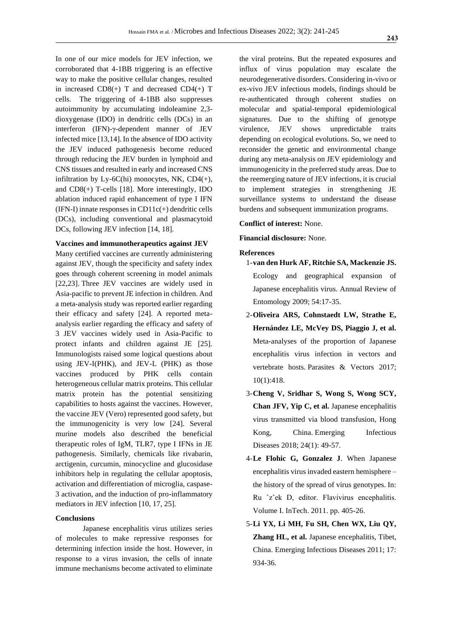In one of our mice models for JEV infection, we corroborated that 4-1BB triggering is an effective way to make the positive cellular changes, resulted in increased  $CD8(+)$  T and decreased  $CD4(+)$  T cells. The triggering of 4-1BB also suppresses autoimmunity by accumulating indoleamine 2,3 dioxygenase (IDO) in dendritic cells (DCs) in an interferon (IFN)-γ-dependent manner of JEV infected mice [13,14]. In the absence of IDO activity the JEV induced pathogenesis become reduced through reducing the JEV burden in lymphoid and CNS tissues and resulted in early and increased CNS infiltration by Ly-6C(hi) monocytes, NK,  $CD4(+)$ , and CD8(+) T-cells [18]. More interestingly, IDO ablation induced rapid enhancement of type I IFN  $(IFN-I)$  innate responses in  $CD11c(+)$  dendritic cells (DCs), including conventional and plasmacytoid DCs, following JEV infection [14, 18].

### **Vaccines and immunotherapeutics against JEV**

Many certified vaccines are currently administering against JEV, though the specificity and safety index goes through coherent screening in model animals [22,23]. Three JEV vaccines are widely used in Asia-pacific to prevent JE infection in children. And a meta-analysis study was reported earlier regarding their efficacy and safety [24]. A reported metaanalysis earlier regarding the efficacy and safety of 3 JEV vaccines widely used in Asia-Pacific to protect infants and children against JE [25]. Immunologists raised some logical questions about using JEV-I(PHK), and JEV-L (PHK) as those vaccines produced by PHK cells contain heterogeneous cellular matrix proteins. This cellular matrix protein has the potential sensitizing capabilities to hosts against the vaccines. However, the vaccine JEV (Vero) represented good safety, but the immunogenicity is very low [24]. Several murine models also described the beneficial therapeutic roles of IgM, TLR7, type I IFNs in JE pathogenesis. Similarly, chemicals like rivabarin, arctigenin, curcumin, minocycline and glucosidase inhibitors help in regulating the cellular apoptosis, activation and differentiation of microglia, caspase-3 activation, and the induction of pro-inflammatory mediators in JEV infection [10, 17, 25].

# **Conclusions**

Japanese encephalitis virus utilizes series of molecules to make repressive responses for determining infection inside the host. However, in response to a virus invasion, the cells of innate immune mechanisms become activated to eliminate

the viral proteins. But the repeated exposures and influx of virus population may escalate the neurodegenerative disorders. Considering in-vivo or ex-vivo JEV infectious models, findings should be re-authenticated through coherent studies on molecular and spatial-temporal epidemiological signatures. Due to the shifting of genotype virulence, JEV shows unpredictable traits depending on ecological evolutions. So, we need to reconsider the genetic and environmental change during any meta-analysis on JEV epidemiology and immunogenicity in the preferred study areas. Due to the reemerging nature of JEV infections, it is crucial to implement strategies in strengthening JE surveillance systems to understand the disease burdens and subsequent immunization programs.

## **Conflict of interest:** None.

**Financial disclosure:** None.

## **References**

- 1-**van den Hurk AF, Ritchie SA, Mackenzie JS.** Ecology and geographical expansion of Japanese encephalitis virus. Annual Review of Entomology 2009; 54:17-35.
- 2-**Oliveira ARS, Cohnstaedt LW, Strathe E, Hernández LE, McVey DS, Piaggio J, et al.** Meta-analyses of the proportion of Japanese encephalitis virus infection in vectors and vertebrate hosts. Parasites & Vectors 2017; 10(1):418.
- 3-**Cheng V, Sridhar S, Wong S, Wong SCY, Chan JFV, Yip C, et al.** Japanese encephalitis virus transmitted via blood transfusion, Hong Kong, China. Emerging Infectious Diseases 2018; 24(1): 49-57.
- 4-**Le Flohic G, Gonzalez J**. When Japanese encephalitis virus invaded eastern hemisphere – the history of the spread of virus genotypes. In: Ru ˚zˇek D, editor. Flavivirus encephalitis. Volume I. InTech. 2011. pp. 405-26.
- 5-**Li YX, Li MH, Fu SH, Chen WX, Liu QY,**  Zhang HL, et al. Japanese encephalitis, Tibet, China. Emerging Infectious Diseases 2011; 17: 934-36.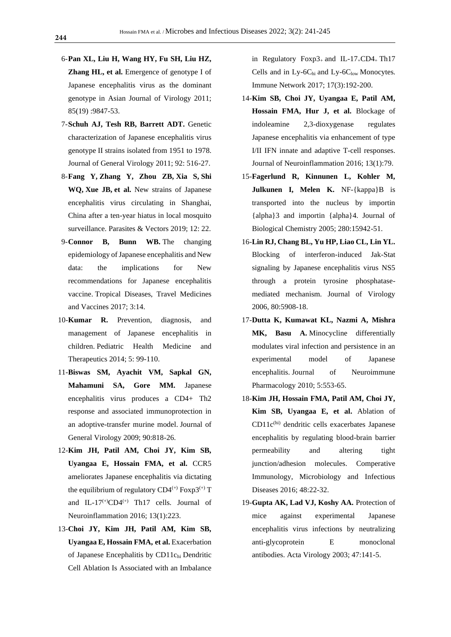- 6-**Pan XL, Liu H, Wang HY, Fu SH, Liu HZ, Zhang HL, et al.** Emergence of genotype I of Japanese encephalitis virus as the dominant genotype in Asian Journal of Virology 2011; 85(19) :9847-53.
- 7-**Schuh AJ, Tesh RB, Barrett ADT.** Genetic characterization of Japanese encephalitis virus genotype II strains isolated from 1951 to 1978. Journal of General Virology 2011; 92: 516-27.
- 8-**Fang Y, Zhang Y, Zhou ZB, Xia S, Shi WQ, Xue JB, et al.** New strains of Japanese encephalitis virus circulating in Shanghai, China after a ten-year hiatus in local mosquito surveillance. [Parasites & Vectors](https://www.ncbi.nlm.nih.gov/pmc/articles/PMC6327439/) 2019; 12: 22.
- 9-**Connor B, Bunn WB.** The changing epidemiology of Japanese encephalitis and New data: the implications for New recommendations for Japanese encephalitis vaccine. Tropical Diseases, Travel Medicines and Vaccines 2017; 3:14.
- 10-**Kumar R.** Prevention, diagnosis, and management of Japanese encephalitis in children. Pediatric Health Medicine and Therapeutics 2014; 5: 99-110.
- 11-**Biswas SM, Ayachit VM, Sapkal GN, Mahamuni SA, Gore MM.** Japanese encephalitis virus produces a CD4+ Th2 response and associated immunoprotection in an adoptive-transfer murine model. Journal of General Virology 2009; 90:818-26.
- 12-**Kim JH, Patil AM, Choi JY, Kim SB, Uyangaa E, Hossain FMA, et al.** CCR5 ameliorates Japanese encephalitis via dictating the equilibrium of regulatory  $CD4^{(+)}$  Foxp3<sup>(+)</sup> T and IL-17<sup>(+)</sup>CD4<sup>(+)</sup> Th17 cells. Journal of Neuroinflammation 2016; 13(1):223.
- 13-**Choi JY, Kim JH, Patil AM, Kim SB, Uyangaa E, Hossain FMA, et al.** Exacerbation of Japanese Encephalitis by CD11chi Dendritic Cell Ablation Is Associated with an Imbalance

in Regulatory Foxp3<sub>+</sub> and IL-17<sub>+</sub>CD4<sub>+</sub> Th17 Cells and in  $Ly-6C<sub>hi</sub>$  and  $Ly-6C<sub>low</sub>$  Monocytes. Immune Network 2017; 17(3):192-200.

- 14-**Kim SB, Choi JY, Uyangaa E, Patil AM, Hossain FMA, Hur J, et al.** [Blockage of](https://www.ncbi.nlm.nih.gov/pubmed/27090635)  [indoleamine 2,3-dioxygenase regulates](https://www.ncbi.nlm.nih.gov/pubmed/27090635)  [Japanese encephalitis via enhancement of type](https://www.ncbi.nlm.nih.gov/pubmed/27090635)  [I/II IFN innate and adaptive T-cell responses.](https://www.ncbi.nlm.nih.gov/pubmed/27090635) Journal of Neuroinflammation 2016; 13(1):79.
- 15-**Fagerlund R, Kinnunen L, Kohler M, Julkunen I, Melen K.** NF-{kappa}B is transported into the nucleus by importin {alpha}3 and importin {alpha}4. Journal of Biological Chemistry 2005; 280:15942-51.
- 16-**Lin RJ, Chang BL, Yu HP, Liao CL, Lin YL.** Blocking of interferon-induced Jak-Stat signaling by Japanese encephalitis virus NS5 through a protein tyrosine phosphatasemediated mechanism. Journal of Virology 2006, 80:5908-18.
- 17-**Dutta K, Kumawat KL, Nazmi A, Mishra MK, Basu A.** Minocycline differentially modulates viral infection and persistence in an experimental model of Japanese encephalitis. Journal of Neuroimmune Pharmacology 2010; 5:553-65.
- 18-**Kim JH, Hossain FMA, Patil AM, Choi JY, Kim SB, Uyangaa E, et al.** [Ablation of](https://www.ncbi.nlm.nih.gov/pubmed/27638116)  CD11c(hi) [dendritic cells exacerbates Japanese](https://www.ncbi.nlm.nih.gov/pubmed/27638116)  [encephalitis by regulating blood-brain barrier](https://www.ncbi.nlm.nih.gov/pubmed/27638116)  [permeability and altering tight](https://www.ncbi.nlm.nih.gov/pubmed/27638116)  [junction/adhesion molecules.](https://www.ncbi.nlm.nih.gov/pubmed/27638116) Comperative Immunology, Microbiology and Infectious Diseases 2016; 48:22-32.
- 19-**Gupta AK, Lad VJ, Koshy AA.** Protection of mice against experimental Japanese encephalitis virus infections by neutralizing anti-glycoprotein E monoclonal antibodies. Acta Virology 2003; 47:141-5.